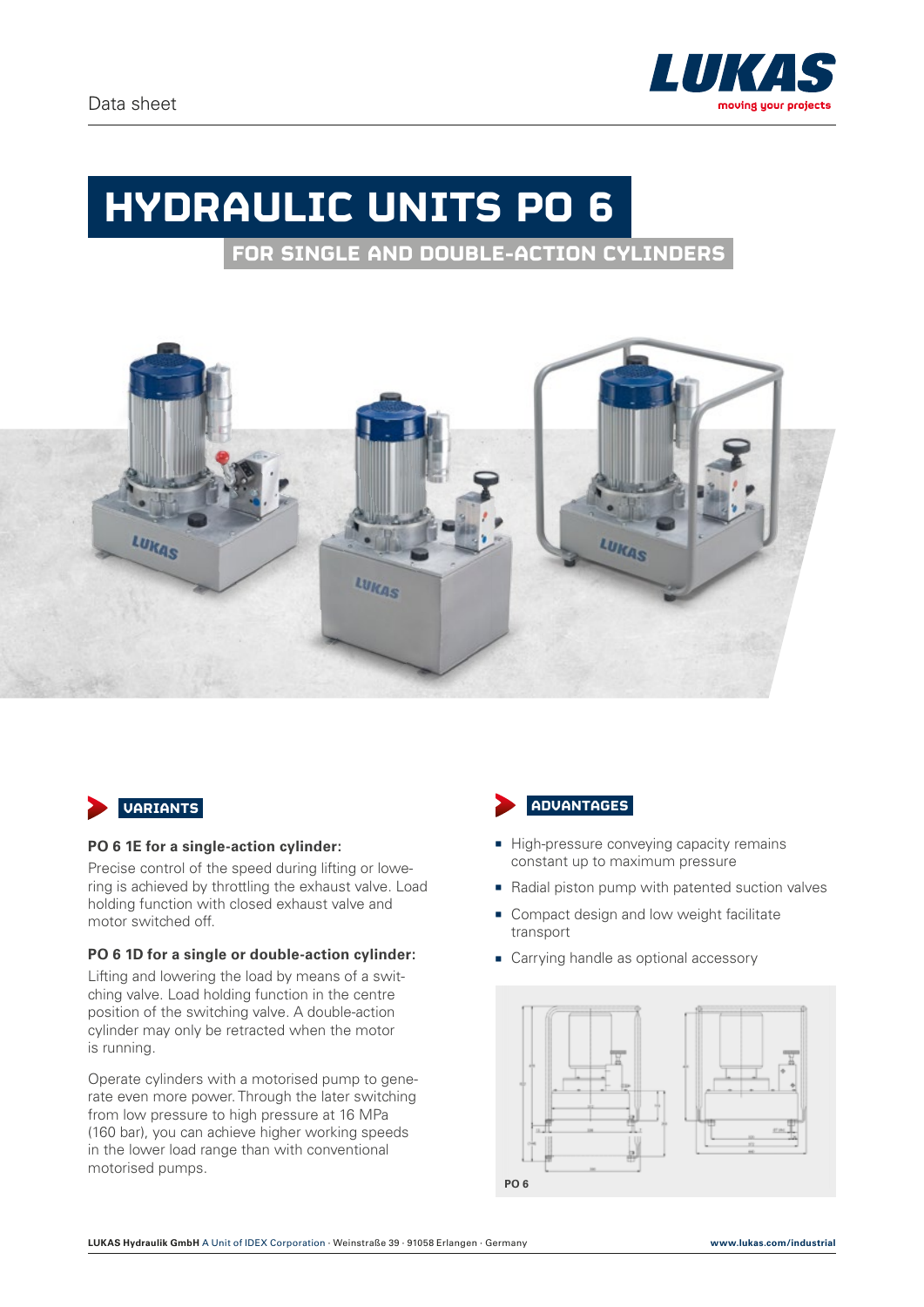# **HYDRAULIC UNITS PO 6**

**FOR SINGLE AND DOUBLE-ACTION CYLINDERS**





#### **PO 6 1E for a single-action cylinder:**

Precise control of the speed during lifting or lowering is achieved by throttling the exhaust valve. Load holding function with closed exhaust valve and motor switched off.

#### **PO 6 1D for a single or double-action cylinder:**

Lifting and lowering the load by means of a switching valve. Load holding function in the centre position of the switching valve. A double-action cylinder may only be retracted when the motor is running.

Operate cylinders with a motorised pump to generate even more power. Through the later switching from low pressure to high pressure at 16 MPa (160 bar), you can achieve higher working speeds in the lower load range than with conventional motorised pumps.



- High-pressure conveying capacity remains constant up to maximum pressure
- $\blacksquare$  Radial piston pump with patented suction valves
- Compact design and low weight facilitate transport
- **Carrying handle as optional accessory**